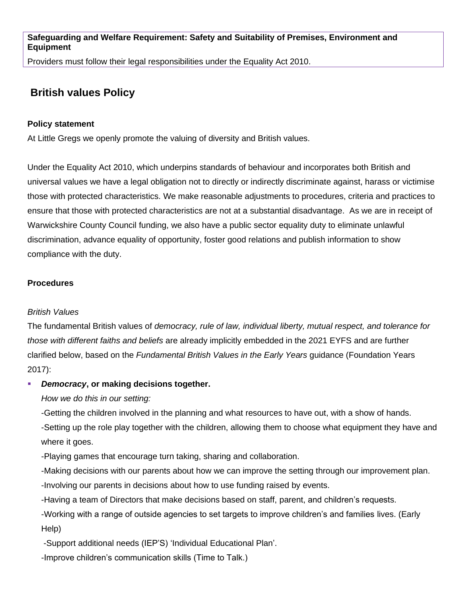**Safeguarding and Welfare Requirement: Safety and Suitability of Premises, Environment and Equipment**

Providers must follow their legal responsibilities under the Equality Act 2010.

# **British values Policy**

### **Policy statement**

At Little Gregs we openly promote the valuing of diversity and British values.

Under the Equality Act 2010, which underpins standards of behaviour and incorporates both British and universal values we have a legal obligation not to directly or indirectly discriminate against, harass or victimise those with protected characteristics. We make reasonable adjustments to procedures, criteria and practices to ensure that those with protected characteristics are not at a substantial disadvantage. As we are in receipt of Warwickshire County Council funding, we also have a public sector equality duty to eliminate unlawful discrimination, advance equality of opportunity, foster good relations and publish information to show compliance with the duty.

#### **Procedures**

### *British Values*

The fundamental British values of *democracy, rule of law, individual liberty, mutual respect, and tolerance for those with different faiths and beliefs* are already implicitly embedded in the 2021 EYFS and are further clarified below, based on the *Fundamental British Values in the Early Years* guidance (Foundation Years 2017):

### **Democracy, or making decisions together.**

*How we do this in our setting:*

-Getting the children involved in the planning and what resources to have out, with a show of hands.

-Setting up the role play together with the children, allowing them to choose what equipment they have and where it goes.

-Playing games that encourage turn taking, sharing and collaboration.

-Making decisions with our parents about how we can improve the setting through our improvement plan.

-Involving our parents in decisions about how to use funding raised by events.

-Having a team of Directors that make decisions based on staff, parent, and children's requests.

-Working with a range of outside agencies to set targets to improve children's and families lives. (Early Help)

-Support additional needs (IEP'S) 'Individual Educational Plan'.

-Improve children's communication skills (Time to Talk.)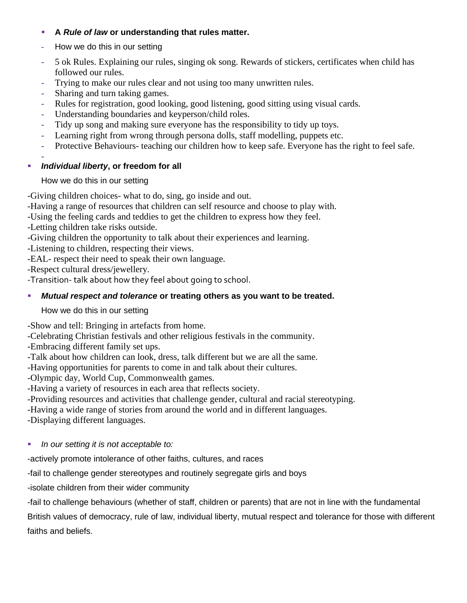### ▪ **A** *Rule of law* **or understanding that rules matter.**

- **-** How we do this in our setting
- **-** 5 ok Rules. Explaining our rules, singing ok song. Rewards of stickers, certificates when child has followed our rules.
- **-** Trying to make our rules clear and not using too many unwritten rules.
- **-** Sharing and turn taking games.
- **-** Rules for registration, good looking, good listening, good sitting using visual cards.
- **-** Understanding boundaries and keyperson/child roles.
- **-** Tidy up song and making sure everyone has the responsibility to tidy up toys.
- **-** Learning right from wrong through persona dolls, staff modelling, puppets etc.
- **-** Protective Behaviours- teaching our children how to keep safe. Everyone has the right to feel safe.

#### **-** ▪ *Individual liberty***, or freedom for all**

# How we do this in our setting

-Giving children choices- what to do, sing, go inside and out.

-Having a range of resources that children can self resource and choose to play with.

- -Using the feeling cards and teddies to get the children to express how they feel.
- -Letting children take risks outside.

-Giving children the opportunity to talk about their experiences and learning.

-Listening to children, respecting their views.

-EAL- respect their need to speak their own language.

-Respect cultural dress/jewellery.

-Transition- talk about how they feel about going to school.

# ▪ *Mutual respect and tolerance* **or treating others as you want to be treated.**

### How we do this in our setting

-Show and tell: Bringing in artefacts from home.

-Celebrating Christian festivals and other religious festivals in the community.

-Embracing different family set ups.

-Talk about how children can look, dress, talk different but we are all the same.

-Having opportunities for parents to come in and talk about their cultures.

-Olympic day, World Cup, Commonwealth games.

-Having a variety of resources in each area that reflects society.

-Providing resources and activities that challenge gender, cultural and racial stereotyping.

-Having a wide range of stories from around the world and in different languages.

-Displaying different languages.

▪ *In our setting it is not acceptable to:*

-actively promote intolerance of other faiths, cultures, and races

-fail to challenge gender stereotypes and routinely segregate girls and boys

-isolate children from their wider community

-fail to challenge behaviours (whether of staff, children or parents) that are not in line with the fundamental British values of democracy, rule of law, individual liberty, mutual respect and tolerance for those with different faiths and beliefs.